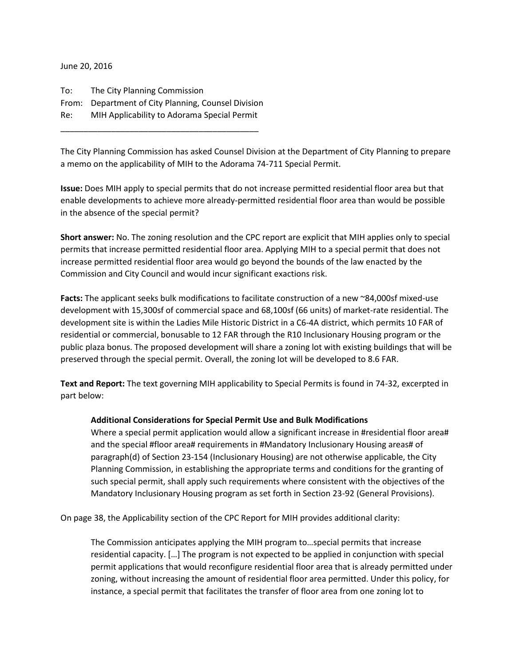June 20, 2016

To: The City Planning Commission From: Department of City Planning, Counsel Division Re: MIH Applicability to Adorama Special Permit

\_\_\_\_\_\_\_\_\_\_\_\_\_\_\_\_\_\_\_\_\_\_\_\_\_\_\_\_\_\_\_\_\_\_\_\_\_\_\_\_\_\_\_

The City Planning Commission has asked Counsel Division at the Department of City Planning to prepare a memo on the applicability of MIH to the Adorama 74-711 Special Permit.

**Issue:** Does MIH apply to special permits that do not increase permitted residential floor area but that enable developments to achieve more already-permitted residential floor area than would be possible in the absence of the special permit?

**Short answer:** No. The zoning resolution and the CPC report are explicit that MIH applies only to special permits that increase permitted residential floor area. Applying MIH to a special permit that does not increase permitted residential floor area would go beyond the bounds of the law enacted by the Commission and City Council and would incur significant exactions risk.

**Facts:** The applicant seeks bulk modifications to facilitate construction of a new ~84,000sf mixed-use development with 15,300sf of commercial space and 68,100sf (66 units) of market-rate residential. The development site is within the Ladies Mile Historic District in a C6-4A district, which permits 10 FAR of residential or commercial, bonusable to 12 FAR through the R10 Inclusionary Housing program or the public plaza bonus. The proposed development will share a zoning lot with existing buildings that will be preserved through the special permit. Overall, the zoning lot will be developed to 8.6 FAR.

**Text and Report:** The text governing MIH applicability to Special Permits is found in 74-32, excerpted in part below:

## **Additional Considerations for Special Permit Use and Bulk Modifications**

Where a special permit application would allow a significant increase in #residential floor area# and the special #floor area# requirements in #Mandatory Inclusionary Housing areas# of paragraph(d) of Section 23-154 (Inclusionary Housing) are not otherwise applicable, the City Planning Commission, in establishing the appropriate terms and conditions for the granting of such special permit, shall apply such requirements where consistent with the objectives of the Mandatory Inclusionary Housing program as set forth in Section 23-92 (General Provisions).

On page 38, the Applicability section of the CPC Report for MIH provides additional clarity:

The Commission anticipates applying the MIH program to…special permits that increase residential capacity. […] The program is not expected to be applied in conjunction with special permit applications that would reconfigure residential floor area that is already permitted under zoning, without increasing the amount of residential floor area permitted. Under this policy, for instance, a special permit that facilitates the transfer of floor area from one zoning lot to